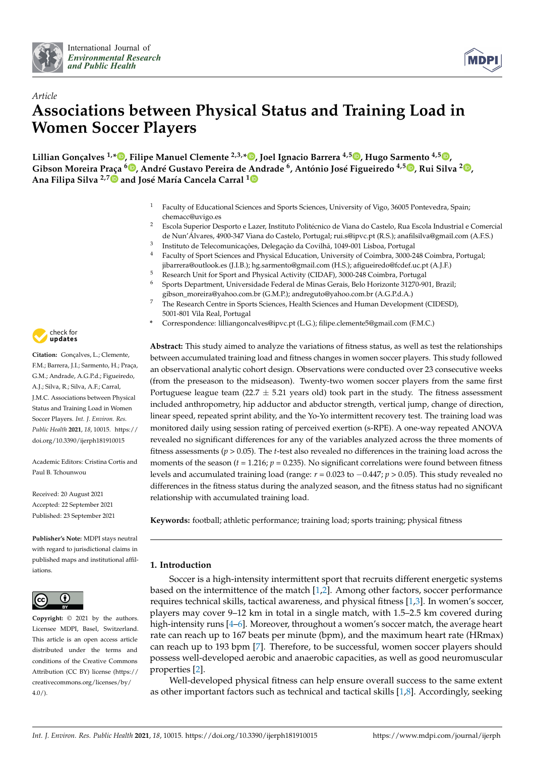



# *Article* **Associations between Physical Status and Training Load in Women Soccer Players**

**Lillian Gonçalves 1,[\\*](https://orcid.org/0000-0002-8878-3374) , Filipe Manuel Clemente 2,3,[\\*](https://orcid.org/0000-0001-9813-2842) , Joel Ignacio Barrera 4,5 [,](https://orcid.org/0000-0002-9559-5048) Hugo Sarmento 4,5 [,](https://orcid.org/0000-0001-8681-0642) Gibson Moreira Praça [6](https://orcid.org/0000-0001-9971-7308) , André Gustavo Pereira de Andrade <sup>6</sup> , António José Figueiredo 4,5 [,](https://orcid.org/0000-0001-6956-0514) Rui Silva <sup>2</sup> [,](https://orcid.org/0000-0003-3380-864X) Ana Filipa Silva 2,[7](https://orcid.org/0000-0002-1772-1272) and José María Cancela Carral [1](https://orcid.org/0000-0003-2903-3829)**

- <sup>1</sup> Faculty of Educational Sciences and Sports Sciences, University of Vigo, 36005 Pontevedra, Spain; chemacc@uvigo.es
- <sup>2</sup> Escola Superior Desporto e Lazer, Instituto Politécnico de Viana do Castelo, Rua Escola Industrial e Comercial de Nun'Álvares, 4900-347 Viana do Castelo, Portugal; rui.s@ipvc.pt (R.S.); anafilsilva@gmail.com (A.F.S.)
- <sup>3</sup> Instituto de Telecomunicações, Delegação da Covilhã, 1049-001 Lisboa, Portugal
- <sup>4</sup> Faculty of Sport Sciences and Physical Education, University of Coimbra, 3000-248 Coimbra, Portugal; jibarrera@outlook.es (J.I.B.); hg.sarmento@gmail.com (H.S.); afigueiredo@fcdef.uc.pt (A.J.F.)
- 5 Research Unit for Sport and Physical Activity (CIDAF), 3000-248 Coimbra, Portugal
- <sup>6</sup> Sports Department, Universidade Federal de Minas Gerais, Belo Horizonte 31270-901, Brazil; gibson\_moreira@yahoo.com.br (G.M.P.); andreguto@yahoo.com.br (A.G.P.d.A.)
- <sup>7</sup> The Research Centre in Sports Sciences, Health Sciences and Human Development (CIDESD), 5001-801 Vila Real, Portugal
- **\*** Correspondence: lilliangoncalves@ipvc.pt (L.G.); filipe.clemente5@gmail.com (F.M.C.)

**Abstract:** This study aimed to analyze the variations of fitness status, as well as test the relationships between accumulated training load and fitness changes in women soccer players. This study followed an observational analytic cohort design. Observations were conducted over 23 consecutive weeks (from the preseason to the midseason). Twenty-two women soccer players from the same first Portuguese league team (22.7  $\pm$  5.21 years old) took part in the study. The fitness assessment included anthropometry, hip adductor and abductor strength, vertical jump, change of direction, linear speed, repeated sprint ability, and the Yo-Yo intermittent recovery test. The training load was monitored daily using session rating of perceived exertion (s-RPE). A one-way repeated ANOVA revealed no significant differences for any of the variables analyzed across the three moments of fitness assessments (*p* > 0.05). The *t*-test also revealed no differences in the training load across the moments of the season  $(t = 1.216; p = 0.235)$ . No significant correlations were found between fitness levels and accumulated training load (range: *r* = 0.023 to −0.447; *p* > 0.05). This study revealed no differences in the fitness status during the analyzed season, and the fitness status had no significant relationship with accumulated training load.

**Keywords:** football; athletic performance; training load; sports training; physical fitness

## **1. Introduction**

Soccer is a high-intensity intermittent sport that recruits different energetic systems based on the intermittence of the match [\[1](#page-7-0)[,2\]](#page-7-1). Among other factors, soccer performance requires technical skills, tactical awareness, and physical fitness [\[1](#page-7-0)[,3\]](#page-7-2). In women's soccer, players may cover 9–12 km in total in a single match, with 1.5–2.5 km covered during high-intensity runs [\[4–](#page-7-3)[6\]](#page-7-4). Moreover, throughout a women's soccer match, the average heart rate can reach up to 167 beats per minute (bpm), and the maximum heart rate (HRmax) can reach up to 193 bpm [\[7\]](#page-7-5). Therefore, to be successful, women soccer players should possess well-developed aerobic and anaerobic capacities, as well as good neuromuscular properties [\[2\]](#page-7-1).

Well-developed physical fitness can help ensure overall success to the same extent as other important factors such as technical and tactical skills [\[1,](#page-7-0)[8\]](#page-7-6). Accordingly, seeking



**Citation:** Gonçalves, L.; Clemente, F.M.; Barrera, J.I.; Sarmento, H.; Praça, G.M.; Andrade, A.G.P.d.; Figueiredo, A.J.; Silva, R.; Silva, A.F.; Carral, J.M.C. Associations between Physical Status and Training Load in Women Soccer Players. *Int. J. Environ. Res. Public Health* **2021**, *18*, 10015. [https://](https://doi.org/10.3390/ijerph181910015) [doi.org/10.3390/ijerph181910015](https://doi.org/10.3390/ijerph181910015)

Academic Editors: Cristina Cortis and Paul B. Tchounwou

Received: 20 August 2021 Accepted: 22 September 2021 Published: 23 September 2021

**Publisher's Note:** MDPI stays neutral with regard to jurisdictional claims in published maps and institutional affiliations.



**Copyright:** © 2021 by the authors. Licensee MDPI, Basel, Switzerland. This article is an open access article distributed under the terms and conditions of the Creative Commons Attribution (CC BY) license (https:/[/](https://creativecommons.org/licenses/by/4.0/) [creativecommons.org/licenses/by/](https://creativecommons.org/licenses/by/4.0/) 4.0/).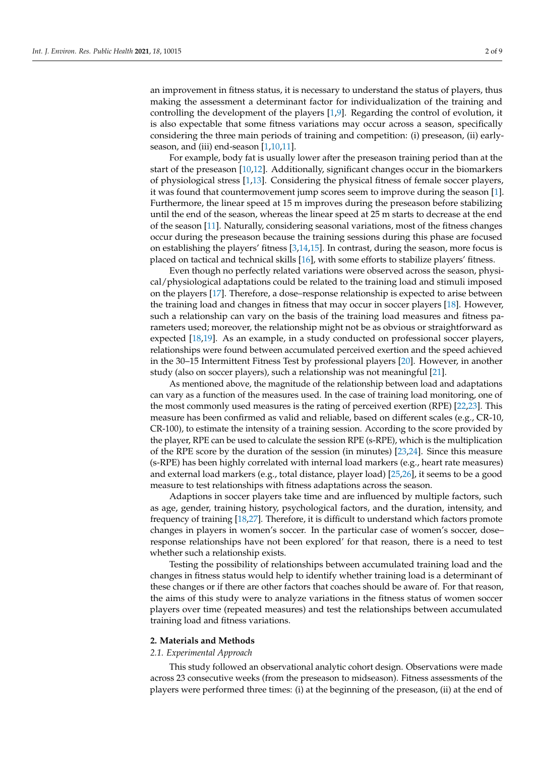an improvement in fitness status, it is necessary to understand the status of players, thus making the assessment a determinant factor for individualization of the training and controlling the development of the players [\[1](#page-7-0)[,9\]](#page-7-7). Regarding the control of evolution, it is also expectable that some fitness variations may occur across a season, specifically considering the three main periods of training and competition: (i) preseason, (ii) earlyseason, and (iii) end-season [\[1,](#page-7-0)[10,](#page-7-8)[11\]](#page-7-9).

For example, body fat is usually lower after the preseason training period than at the start of the preseason [\[10,](#page-7-8)[12\]](#page-7-10). Additionally, significant changes occur in the biomarkers of physiological stress [\[1,](#page-7-0)[13\]](#page-7-11). Considering the physical fitness of female soccer players, it was found that countermovement jump scores seem to improve during the season [\[1\]](#page-7-0). Furthermore, the linear speed at 15 m improves during the preseason before stabilizing until the end of the season, whereas the linear speed at 25 m starts to decrease at the end of the season [\[11\]](#page-7-9). Naturally, considering seasonal variations, most of the fitness changes occur during the preseason because the training sessions during this phase are focused on establishing the players' fitness [\[3](#page-7-2)[,14](#page-7-12)[,15\]](#page-7-13). In contrast, during the season, more focus is placed on tactical and technical skills [\[16\]](#page-7-14), with some efforts to stabilize players' fitness.

Even though no perfectly related variations were observed across the season, physical/physiological adaptations could be related to the training load and stimuli imposed on the players [\[17\]](#page-7-15). Therefore, a dose–response relationship is expected to arise between the training load and changes in fitness that may occur in soccer players [\[18\]](#page-7-16). However, such a relationship can vary on the basis of the training load measures and fitness parameters used; moreover, the relationship might not be as obvious or straightforward as expected [\[18](#page-7-16)[,19\]](#page-7-17). As an example, in a study conducted on professional soccer players, relationships were found between accumulated perceived exertion and the speed achieved in the 30–15 Intermittent Fitness Test by professional players [\[20\]](#page-7-18). However, in another study (also on soccer players), such a relationship was not meaningful [\[21\]](#page-8-0).

As mentioned above, the magnitude of the relationship between load and adaptations can vary as a function of the measures used. In the case of training load monitoring, one of the most commonly used measures is the rating of perceived exertion (RPE) [\[22,](#page-8-1)[23\]](#page-8-2). This measure has been confirmed as valid and reliable, based on different scales (e.g., CR-10, CR-100), to estimate the intensity of a training session. According to the score provided by the player, RPE can be used to calculate the session RPE (s-RPE), which is the multiplication of the RPE score by the duration of the session (in minutes) [\[23,](#page-8-2)[24\]](#page-8-3). Since this measure (s-RPE) has been highly correlated with internal load markers (e.g., heart rate measures) and external load markers (e.g., total distance, player load) [\[25](#page-8-4)[,26\]](#page-8-5), it seems to be a good measure to test relationships with fitness adaptations across the season.

Adaptions in soccer players take time and are influenced by multiple factors, such as age, gender, training history, psychological factors, and the duration, intensity, and frequency of training [\[18,](#page-7-16)[27\]](#page-8-6). Therefore, it is difficult to understand which factors promote changes in players in women's soccer. In the particular case of women's soccer, dose– response relationships have not been explored' for that reason, there is a need to test whether such a relationship exists.

Testing the possibility of relationships between accumulated training load and the changes in fitness status would help to identify whether training load is a determinant of these changes or if there are other factors that coaches should be aware of. For that reason, the aims of this study were to analyze variations in the fitness status of women soccer players over time (repeated measures) and test the relationships between accumulated training load and fitness variations.

#### **2. Materials and Methods**

#### *2.1. Experimental Approach*

This study followed an observational analytic cohort design. Observations were made across 23 consecutive weeks (from the preseason to midseason). Fitness assessments of the players were performed three times: (i) at the beginning of the preseason, (ii) at the end of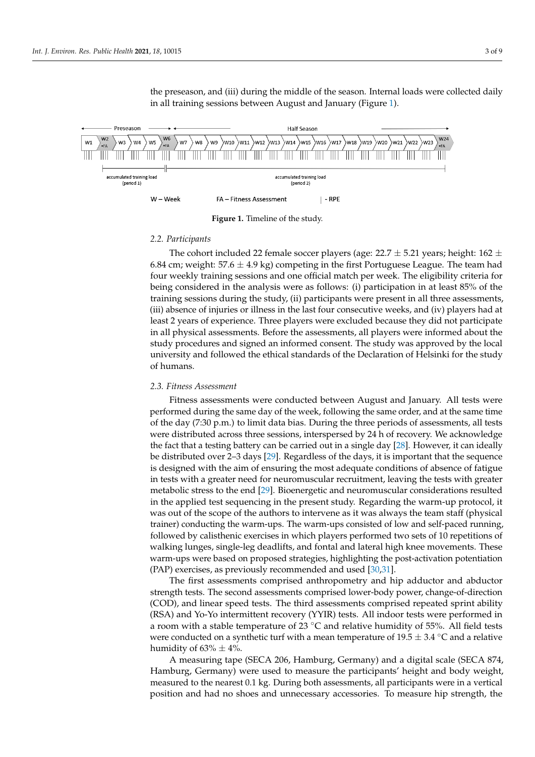the preseason, and (iii) during the middle of the season. Internal loads were collected daily in all training sessions between Au[gu](#page-2-0)st and January (Figure 1).

<span id="page-2-0"></span>

**Figure 1.** Timeline of the study.

#### *2.2. Participants*

6.84 cm; weight: 57.6  $\pm$  4.9 kg) competing in the first Portuguese League. The team had four weekly training sessions and one official match per week. The eligibility criteria for being considered in the analysis were as follows: (i) participation in at least 85% of the training sessions during the study, (ii) participants were present in all three assessments, (iii) absence of injuries or illness in the last four consecutive weeks, and (iv) players had at  $\Gamma$ in all physical assessments. Before the assessments, all players were informed about the example, were experienced before the assessment, when participate were internet as set the<br>study procedures and signed an informed consent. The study was approved by the local university and followed the ethical standards of the Declaration of Helsinki for the study of humans. The cohort included 22 female soccer players (age:  $22.7 \pm 5.21$  years; height: 162  $\pm$ least 2 years of experience. Three players were excluded because they did not participate of humans.

#### university and followed the ethical standards of the ethical standards of the Declaration of Helsinki for the study  $\alpha$ *2.3. Fitness Assessment*

performed during the same day of the week, following the same order, and at the same time were distributed across three sessions, interspersed by 24 h of recovery. We acknowledge the fact that a testing battery can be carried out in a single day [\[28\]](#page-8-7). However, it can ideally be distributed over 2-3 days [29]. Regardless of the days, it is important that the sequence is designed with the aim of ensuring the most adequate conditions of absence of fatigue in tests with a greater need for neuromuscular recruitment, leaving the tests with greater metabolic stress to the end [\[29\]](#page-8-8). Bioenergetic and neuromuscular considerations resulted in the applied test sequencing in the present study. Regarding the warm-up protocol, it was out of the scope of the address to intervente as it was always the team start (priysical trainer) conducting the warm-ups. The warm-ups consisted of low and self-paced running, followed by calisthenic exercises in which players performed two sets of 10 repetitions of walking lunges, single-leg deadlifts, and fontal and lateral high knee movements. These warm-ups were based on proposed strategies, highlighting the post-activation potentiation (PAP) exercises, as previously recommended and used  $[30,31]$ . Fitness assessments were conducted between August and January. All tests were of the day (7:30 p.m.) to limit data bias. During the three periods of assessments, all tests was out of the scope of the authors to intervene as it was always the team staff (physical

The first assessments comprised anthropometry and hip adductor and abductor strength tests. The second assessments comprised lower-body power, change-of-direction (COD), and linear speed tests. The third assessments comprised repeated sprint ability  $(50.1)$ a room with a stable temperature of  $23^{\circ}$ C and relative humidity of 55%. All field tests were conducted on a synthetic turf with a mean temperature of  $19.5 \pm 3.4 \degree$ C and a relative humidity of  $63\% \pm 4\%$ . (RSA) and Yo-Yo intermittent recovery (YYIR) tests. All indoor tests were performed in

A measuring tape (SECA 206, Hamburg, Germany) and a digital scale (SECA 874, Hamburg, Germany) were used to measure the participants' height and body weight, measured to the nearest 0.1 kg. During both assessments, all participants were in a vertical position and had no shoes and unnecessary accessories. To measure hip strength, the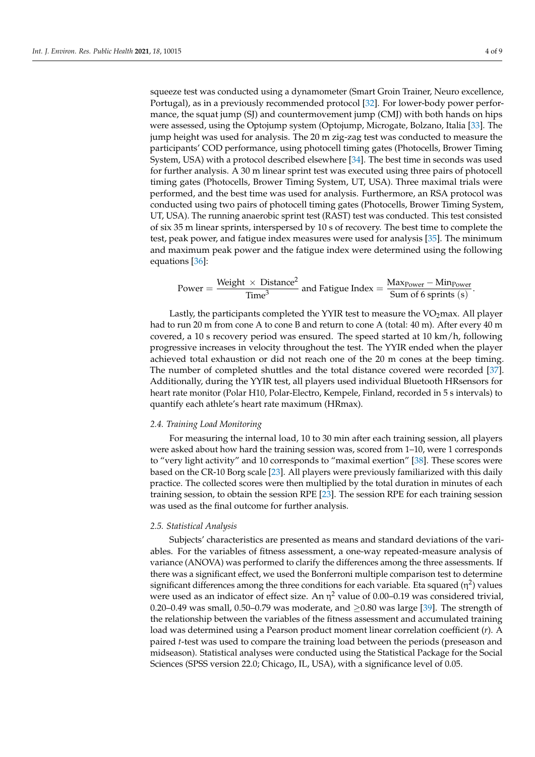squeeze test was conducted using a dynamometer (Smart Groin Trainer, Neuro excellence, Portugal), as in a previously recommended protocol [\[32\]](#page-8-11). For lower-body power performance, the squat jump (SJ) and countermovement jump (CMJ) with both hands on hips were assessed, using the Optojump system (Optojump, Microgate, Bolzano, Italia [\[33\]](#page-8-12). The jump height was used for analysis. The 20 m zig-zag test was conducted to measure the participants' COD performance, using photocell timing gates (Photocells, Brower Timing System, USA) with a protocol described elsewhere [\[34\]](#page-8-13). The best time in seconds was used for further analysis. A 30 m linear sprint test was executed using three pairs of photocell timing gates (Photocells, Brower Timing System, UT, USA). Three maximal trials were performed, and the best time was used for analysis. Furthermore, an RSA protocol was conducted using two pairs of photocell timing gates (Photocells, Brower Timing System, UT, USA). The running anaerobic sprint test (RAST) test was conducted. This test consisted of six 35 m linear sprints, interspersed by 10 s of recovery. The best time to complete the test, peak power, and fatigue index measures were used for analysis [\[35\]](#page-8-14). The minimum and maximum peak power and the fatigue index were determined using the following equations [\[36\]](#page-8-15):

Power = 
$$
\frac{\text{Weight} \times \text{Distance}^2}{\text{Time}^3}
$$
 and Fatigue Index =  $\frac{\text{MaxPower} - \text{MinPower}}{\text{Sum of 6 springs (s)}}$ .

Lastly, the participants completed the YYIR test to measure the  $VO<sub>2</sub>$ max. All player had to run 20 m from cone A to cone B and return to cone A (total: 40 m). After every 40 m covered, a 10 s recovery period was ensured. The speed started at 10 km/h, following progressive increases in velocity throughout the test. The YYIR ended when the player achieved total exhaustion or did not reach one of the 20 m cones at the beep timing. The number of completed shuttles and the total distance covered were recorded [\[37\]](#page-8-16). Additionally, during the YYIR test, all players used individual Bluetooth HRsensors for heart rate monitor (Polar H10, Polar-Electro, Kempele, Finland, recorded in 5 s intervals) to quantify each athlete's heart rate maximum (HRmax).

#### *2.4. Training Load Monitoring*

For measuring the internal load, 10 to 30 min after each training session, all players were asked about how hard the training session was, scored from 1–10, were 1 corresponds to "very light activity" and 10 corresponds to "maximal exertion" [\[38\]](#page-8-17). These scores were based on the CR-10 Borg scale [\[23\]](#page-8-2). All players were previously familiarized with this daily practice. The collected scores were then multiplied by the total duration in minutes of each training session, to obtain the session RPE [\[23\]](#page-8-2). The session RPE for each training session was used as the final outcome for further analysis.

#### *2.5. Statistical Analysis*

Subjects' characteristics are presented as means and standard deviations of the variables. For the variables of fitness assessment, a one-way repeated-measure analysis of variance (ANOVA) was performed to clarify the differences among the three assessments. If there was a significant effect, we used the Bonferroni multiple comparison test to determine significant differences among the three conditions for each variable. Eta squared ( $\eta^2$ ) values were used as an indicator of effect size. An  $\eta^2$  value of 0.00–0.19 was considered trivial, 0.20–0.49 was small, 0.50–0.79 was moderate, and  $\geq$ 0.80 was large [\[39\]](#page-8-18). The strength of the relationship between the variables of the fitness assessment and accumulated training load was determined using a Pearson product moment linear correlation coefficient (*r*). A paired *t*-test was used to compare the training load between the periods (preseason and midseason). Statistical analyses were conducted using the Statistical Package for the Social Sciences (SPSS version 22.0; Chicago, IL, USA), with a significance level of 0.05.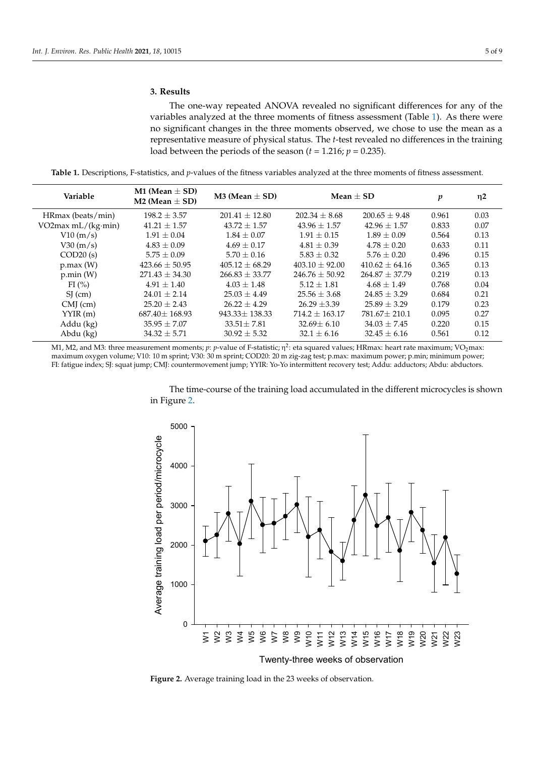### **3. Results**

The one-way repeated ANOVA revealed no significant differences for any of the variables analyzed at the three moments of fitness assessment (Table [1\)](#page-4-0). As there were no significant changes in the three moments observed, we chose to use the mean as a representative measure of physical status. The *t*-test revealed no differences in the training load between the periods of the season  $(t = 1.216; p = 0.235)$ .

<span id="page-4-0"></span>**Table 1.** Descriptions, F-statistics, and *p*-values of the fitness variables analyzed at the three moments of fitness assessment.

| Variable           | M1 (Mean $\pm$ SD)<br>M2 (Mean $\pm$ SD) | M3 (Mean $\pm$ SD) |                    | Mean $+$ SD       | p     | $\eta$ 2 |
|--------------------|------------------------------------------|--------------------|--------------------|-------------------|-------|----------|
| HRmax (beats/min)  | $198.2 \pm 3.57$                         | $201.41 \pm 12.80$ | $202.34 \pm 8.68$  | $200.65 \pm 9.48$ | 0.961 | 0.03     |
| VO2max mL/(kg·min) | $41.21 \pm 1.57$                         | $43.72 \pm 1.57$   | $43.96 \pm 1.57$   | $42.96 \pm 1.57$  | 0.833 | 0.07     |
| V10(m/s)           | $1.91 \pm 0.04$                          | $1.84 \pm 0.07$    | $1.91 + 0.15$      | $1.89 + 0.09$     | 0.564 | 0.13     |
| V30 (m/s)          | $4.83 \pm 0.09$                          | $4.69 \pm 0.17$    | $4.81 \pm 0.39$    | $4.78 \pm 0.20$   | 0.633 | 0.11     |
| COD20(s)           | $5.75 \pm 0.09$                          | $5.70 \pm 0.16$    | $5.83 \pm 0.32$    | $5.76 \pm 0.20$   | 0.496 | 0.15     |
| p.max(W)           | $423.66 \pm 50.95$                       | $405.12 + 68.29$   | $403.10 + 92.00$   | $410.62 + 64.16$  | 0.365 | 0.13     |
| p.min(W)           | $271.43 \pm 34.30$                       | $266.83 \pm 33.77$ | $246.76 \pm 50.92$ | $264.87 + 37.79$  | 0.219 | 0.13     |
| FI(%)              | $4.91 + 1.40$                            | $4.03 + 1.48$      | $5.12 \pm 1.81$    | $4.68 + 1.49$     | 0.768 | 0.04     |
| $SI$ (cm)          | $24.01 \pm 2.14$                         | $25.03 + 4.49$     | $25.56 + 3.68$     | $24.85 + 3.29$    | 0.684 | 0.21     |
| $CMJ$ (cm)         | $25.20 + 2.43$                           | $26.22 + 4.29$     | $26.29 \pm 3.39$   | $25.89 + 3.29$    | 0.179 | 0.23     |
| YYIR(m)            | $687.40 \pm 168.93$                      | $943.33 + 138.33$  | $714.2 + 163.17$   | $781.67 + 210.1$  | 0.095 | 0.27     |
| Addu (kg)          | $35.95 \pm 7.07$                         | $33.51 \pm 7.81$   | $32.69 \pm 6.10$   | $34.03 \pm 7.45$  | 0.220 | 0.15     |
| Abdu (kg)          | $34.32 \pm 5.71$                         | $30.92 + 5.32$     | $32.1 \pm 6.16$    | $32.45 + 6.16$    | 0.561 | 0.12     |

M1, M2, and M3: three measurement moments; *p*: *p*-value of F-statistic; η<sup>2</sup>: eta squared values; HRmax: heart rate maximum; VO<sub>2</sub>max: maximum oxygen volume; V10: 10 m sprint; V30: 30 m sprint; COD20: 20 m zig-zag test; p.max: maximum power; p.min; minimum power; FI: fatigue index; SJ: squat jump; CMJ: countermovement jump; YYIR: Yo-Yo intermittent recovery test; Addu: adductors; Abdu: abductors. *Int. J. Environ. Res. Public Health* **2021**, *181*, 15 6 of 10

> The time-course of the training load accumulated in the different microcycles is shown in Figure [2.](#page-4-1)

<span id="page-4-1"></span>

**Figure 2.** Average training load in the 23 weeks of observation. **Figure 2.** Average training load in the 23 weeks of observation.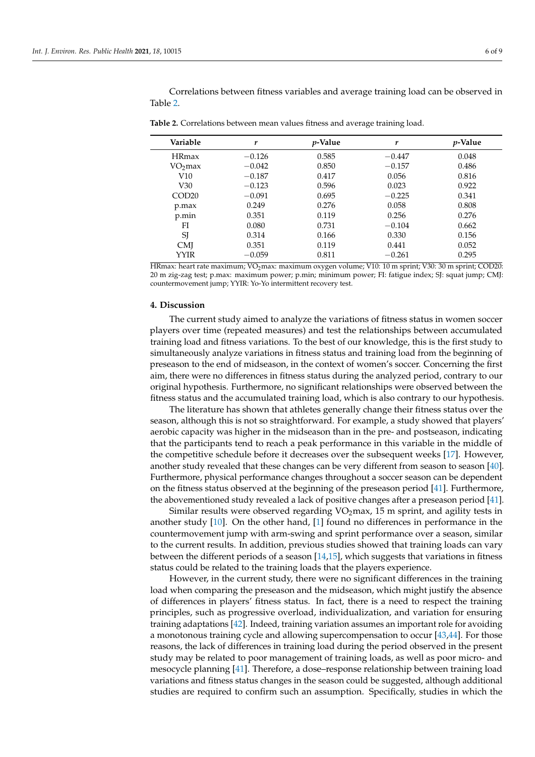Correlations between fitness variables and average training load can be observed in Table [2.](#page-5-0)

| Variable          | r        | <i>p</i> -Value | r        | <i>p</i> -Value |
|-------------------|----------|-----------------|----------|-----------------|
| <b>HRmax</b>      | $-0.126$ | 0.585           | $-0.447$ | 0.048           |
| $VO2$ max         | $-0.042$ | 0.850           | $-0.157$ | 0.486           |
| V10               | $-0.187$ | 0.417           | 0.056    | 0.816           |
| V30               | $-0.123$ | 0.596           | 0.023    | 0.922           |
| COD <sub>20</sub> | $-0.091$ | 0.695           | $-0.225$ | 0.341           |
| p.max             | 0.249    | 0.276           | 0.058    | 0.808           |
| p.min             | 0.351    | 0.119           | 0.256    | 0.276           |
| FI                | 0.080    | 0.731           | $-0.104$ | 0.662           |
| SJ                | 0.314    | 0.166           | 0.330    | 0.156           |
| <b>CMI</b>        | 0.351    | 0.119           | 0.441    | 0.052           |
| YYIR              | $-0.059$ | 0.811           | $-0.261$ | 0.295           |

<span id="page-5-0"></span>**Table 2.** Correlations between mean values fitness and average training load.

HRmax: heart rate maximum; VO<sub>2</sub>max: maximum oxygen volume; V10: 10 m sprint; V30: 30 m sprint; COD20: 20 m zig-zag test; p.max: maximum power; p.min; minimum power; FI: fatigue index; SJ: squat jump; CMJ: countermovement jump; YYIR: Yo-Yo intermittent recovery test.

#### **4. Discussion**

The current study aimed to analyze the variations of fitness status in women soccer players over time (repeated measures) and test the relationships between accumulated training load and fitness variations. To the best of our knowledge, this is the first study to simultaneously analyze variations in fitness status and training load from the beginning of preseason to the end of midseason, in the context of women's soccer. Concerning the first aim, there were no differences in fitness status during the analyzed period, contrary to our original hypothesis. Furthermore, no significant relationships were observed between the fitness status and the accumulated training load, which is also contrary to our hypothesis.

The literature has shown that athletes generally change their fitness status over the season, although this is not so straightforward. For example, a study showed that players' aerobic capacity was higher in the midseason than in the pre- and postseason, indicating that the participants tend to reach a peak performance in this variable in the middle of the competitive schedule before it decreases over the subsequent weeks [\[17\]](#page-7-15). However, another study revealed that these changes can be very different from season to season [\[40\]](#page-8-19). Furthermore, physical performance changes throughout a soccer season can be dependent on the fitness status observed at the beginning of the preseason period [\[41\]](#page-8-20). Furthermore, the abovementioned study revealed a lack of positive changes after a preseason period [\[41\]](#page-8-20).

Similar results were observed regarding  $VO<sub>2</sub>max$ , 15 m sprint, and agility tests in another study [\[10\]](#page-7-8). On the other hand, [\[1\]](#page-7-0) found no differences in performance in the countermovement jump with arm-swing and sprint performance over a season, similar to the current results. In addition, previous studies showed that training loads can vary between the different periods of a season [\[14,](#page-7-12)[15\]](#page-7-13), which suggests that variations in fitness status could be related to the training loads that the players experience.

However, in the current study, there were no significant differences in the training load when comparing the preseason and the midseason, which might justify the absence of differences in players' fitness status. In fact, there is a need to respect the training principles, such as progressive overload, individualization, and variation for ensuring training adaptations [\[42\]](#page-8-21). Indeed, training variation assumes an important role for avoiding a monotonous training cycle and allowing supercompensation to occur [\[43](#page-8-22)[,44\]](#page-8-23). For those reasons, the lack of differences in training load during the period observed in the present study may be related to poor management of training loads, as well as poor micro- and mesocycle planning [\[41\]](#page-8-20). Therefore, a dose–response relationship between training load variations and fitness status changes in the season could be suggested, although additional studies are required to confirm such an assumption. Specifically, studies in which the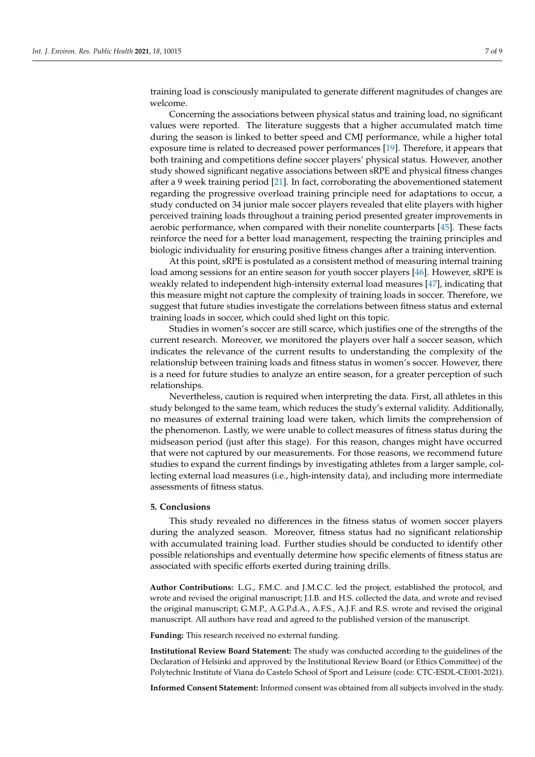training load is consciously manipulated to generate different magnitudes of changes are welcome.

Concerning the associations between physical status and training load, no significant values were reported. The literature suggests that a higher accumulated match time during the season is linked to better speed and CMJ performance, while a higher total exposure time is related to decreased power performances [\[19\]](#page-7-17). Therefore, it appears that both training and competitions define soccer players' physical status. However, another study showed significant negative associations between sRPE and physical fitness changes after a 9 week training period [\[21\]](#page-8-0). In fact, corroborating the abovementioned statement regarding the progressive overload training principle need for adaptations to occur, a study conducted on 34 junior male soccer players revealed that elite players with higher perceived training loads throughout a training period presented greater improvements in aerobic performance, when compared with their nonelite counterparts [\[45\]](#page-8-24). These facts reinforce the need for a better load management, respecting the training principles and biologic individuality for ensuring positive fitness changes after a training intervention.

At this point, sRPE is postulated as a consistent method of measuring internal training load among sessions for an entire season for youth soccer players [\[46\]](#page-8-25). However, sRPE is weakly related to independent high-intensity external load measures [\[47\]](#page-8-26), indicating that this measure might not capture the complexity of training loads in soccer. Therefore, we suggest that future studies investigate the correlations between fitness status and external training loads in soccer, which could shed light on this topic.

Studies in women's soccer are still scarce, which justifies one of the strengths of the current research. Moreover, we monitored the players over half a soccer season, which indicates the relevance of the current results to understanding the complexity of the relationship between training loads and fitness status in women's soccer. However, there is a need for future studies to analyze an entire season, for a greater perception of such relationships.

Nevertheless, caution is required when interpreting the data. First, all athletes in this study belonged to the same team, which reduces the study's external validity. Additionally, no measures of external training load were taken, which limits the comprehension of the phenomenon. Lastly, we were unable to collect measures of fitness status during the midseason period (just after this stage). For this reason, changes might have occurred that were not captured by our measurements. For those reasons, we recommend future studies to expand the current findings by investigating athletes from a larger sample, collecting external load measures (i.e., high-intensity data), and including more intermediate assessments of fitness status.

#### **5. Conclusions**

This study revealed no differences in the fitness status of women soccer players during the analyzed season. Moreover, fitness status had no significant relationship with accumulated training load. Further studies should be conducted to identify other possible relationships and eventually determine how specific elements of fitness status are associated with specific efforts exerted during training drills.

**Author Contributions:** L.G., F.M.C. and J.M.C.C. led the project, established the protocol, and wrote and revised the original manuscript; J.I.B. and H.S. collected the data, and wrote and revised the original manuscript; G.M.P., A.G.P.d.A., A.F.S., A.J.F. and R.S. wrote and revised the original manuscript. All authors have read and agreed to the published version of the manuscript.

**Funding:** This research received no external funding.

**Institutional Review Board Statement:** The study was conducted according to the guidelines of the Declaration of Helsinki and approved by the Institutional Review Board (or Ethics Committee) of the Polytechnic Institute of Viana do Castelo School of Sport and Leisure (code: CTC-ESDL-CE001-2021).

**Informed Consent Statement:** Informed consent was obtained from all subjects involved in the study.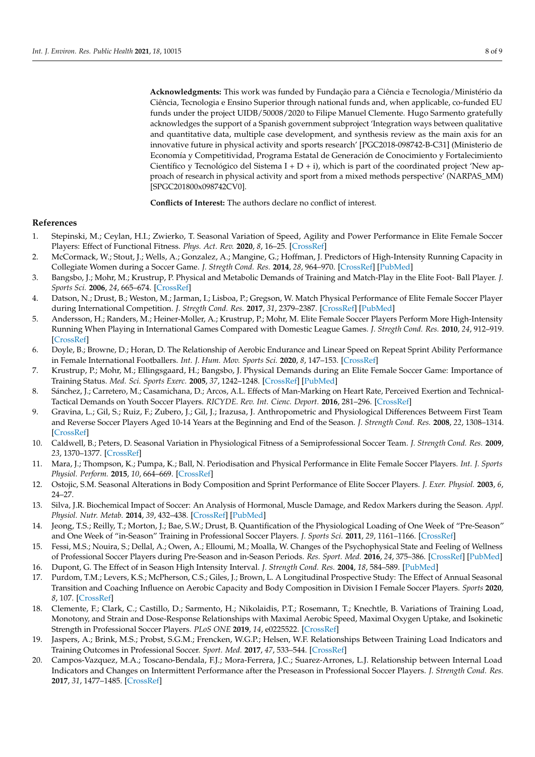**Acknowledgments:** This work was funded by Fundação para a Ciência e Tecnologia/Ministério da Ciência, Tecnologia e Ensino Superior through national funds and, when applicable, co-funded EU funds under the project UIDB/50008/2020 to Filipe Manuel Clemente. Hugo Sarmento gratefully acknowledges the support of a Spanish government subproject 'Integration ways between qualitative and quantitative data, multiple case development, and synthesis review as the main axis for an innovative future in physical activity and sports research' [PGC2018-098742-B-C31] (Ministerio de Economía y Competitividad, Programa Estatal de Generación de Conocimiento y Fortalecimiento Científico y Tecnológico del Sistema I + D + i), which is part of the coordinated project 'New approach of research in physical activity and sport from a mixed methods perspective' (NARPAS\_MM) [SPGC201800x098742CV0].

**Conflicts of Interest:** The authors declare no conflict of interest.

#### **References**

- <span id="page-7-0"></span>1. Stepinski, M.; Ceylan, H.I.; Zwierko, T. Seasonal Variation of Speed, Agility and Power Performance in Elite Female Soccer Players: Effect of Functional Fitness. *Phys. Act. Rev.* **2020**, *8*, 16–25. [\[CrossRef\]](http://doi.org/10.16926/par.2020.08.03)
- <span id="page-7-1"></span>2. McCormack, W.; Stout, J.; Wells, A.; Gonzalez, A.; Mangine, G.; Hoffman, J. Predictors of High-Intensity Running Capacity in Collegiate Women during a Soccer Game. *J. Stregth Cond. Res.* **2014**, *28*, 964–970. [\[CrossRef\]](http://doi.org/10.1519/JSC.0000000000000359) [\[PubMed\]](http://www.ncbi.nlm.nih.gov/pubmed/24378664)
- <span id="page-7-2"></span>3. Bangsbo, J.; Mohr, M.; Krustrup, P. Physical and Metabolic Demands of Training and Match-Play in the Elite Foot- Ball Player. *J. Sports Sci.* **2006**, *24*, 665–674. [\[CrossRef\]](http://doi.org/10.1080/02640410500482529)
- <span id="page-7-3"></span>4. Datson, N.; Drust, B.; Weston, M.; Jarman, I.; Lisboa, P.; Gregson, W. Match Physical Performance of Elite Female Soccer Player during International Competition. *J. Stregth Cond. Res.* **2017**, *31*, 2379–2387. [\[CrossRef\]](http://doi.org/10.1519/JSC.0000000000001575) [\[PubMed\]](http://www.ncbi.nlm.nih.gov/pubmed/27467514)
- 5. Andersson, H.; Randers, M.; Heiner-Moller, A.; Krustrup, P.; Mohr, M. Elite Female Soccer Players Perform More High-Intensity Running When Playing in International Games Compared with Domestic League Games. *J. Stregth Cond. Res.* **2010**, *24*, 912–919. [\[CrossRef\]](http://doi.org/10.1519/JSC.0b013e3181d09f21)
- <span id="page-7-4"></span>6. Doyle, B.; Browne, D.; Horan, D. The Relationship of Aerobic Endurance and Linear Speed on Repeat Sprint Ability Performance in Female International Footballers. *Int. J. Hum. Mov. Sports Sci.* **2020**, *8*, 147–153. [\[CrossRef\]](http://doi.org/10.13189/saj.2020.080407)
- <span id="page-7-5"></span>7. Krustrup, P.; Mohr, M.; Ellingsgaard, H.; Bangsbo, J. Physical Demands during an Elite Female Soccer Game: Importance of Training Status. *Med. Sci. Sports Exerc.* **2005**, *37*, 1242–1248. [\[CrossRef\]](http://doi.org/10.1249/01.mss.0000170062.73981.94) [\[PubMed\]](http://www.ncbi.nlm.nih.gov/pubmed/16015145)
- <span id="page-7-6"></span>8. Sánchez, J.; Carretero, M.; Casamichana, D.; Arcos, A.L. Effects of Man-Marking on Heart Rate, Perceived Exertion and Technical-Tactical Demands on Youth Soccer Players. *RICYDE. Rev. Int. Cienc. Deport.* **2016**, 281–296. [\[CrossRef\]](http://doi.org/10.5232/ricyde)
- <span id="page-7-7"></span>9. Gravina, L.; Gil, S.; Ruiz, F.; Zubero, J.; Gil, J.; Irazusa, J. Anthropometric and Physiological Differences Betweem First Team and Reverse Soccer Players Aged 10-14 Years at the Beginning and End of the Season. *J. Strength Cond. Res.* **2008**, *22*, 1308–1314. [\[CrossRef\]](http://doi.org/10.1519/JSC.0b013e31816a5c8e)
- <span id="page-7-8"></span>10. Caldwell, B.; Peters, D. Seasonal Variation in Physiological Fitness of a Semiprofessional Soccer Team. *J. Strength Cond. Res.* **2009**, *23*, 1370–1377. [\[CrossRef\]](http://doi.org/10.1519/JSC.0b013e3181a4e82f)
- <span id="page-7-9"></span>11. Mara, J.; Thompson, K.; Pumpa, K.; Ball, N. Periodisation and Physical Performance in Elite Female Soccer Players. *Int. J. Sports Physiol. Perform.* **2015**, *10*, 664–669. [\[CrossRef\]](http://doi.org/10.1123/ijspp.2014-0345)
- <span id="page-7-10"></span>12. Ostojic, S.M. Seasonal Alterations in Body Composition and Sprint Performance of Elite Soccer Players. *J. Exer. Physiol.* **2003**, *6*, 24–27.
- <span id="page-7-11"></span>13. Silva, J.R. Biochemical Impact of Soccer: An Analysis of Hormonal, Muscle Damage, and Redox Markers during the Season. *Appl. Physiol. Nutr. Metab.* **2014**, *39*, 432–438. [\[CrossRef\]](http://doi.org/10.1139/apnm-2013-0180) [\[PubMed\]](http://www.ncbi.nlm.nih.gov/pubmed/24669984)
- <span id="page-7-12"></span>14. Jeong, T.S.; Reilly, T.; Morton, J.; Bae, S.W.; Drust, B. Quantification of the Physiological Loading of One Week of "Pre-Season" and One Week of "in-Season" Training in Professional Soccer Players. *J. Sports Sci.* **2011**, *29*, 1161–1166. [\[CrossRef\]](http://doi.org/10.1080/02640414.2011.583671)
- <span id="page-7-13"></span>15. Fessi, M.S.; Nouira, S.; Dellal, A.; Owen, A.; Elloumi, M.; Moalla, W. Changes of the Psychophysical State and Feeling of Wellness of Professional Soccer Players during Pre-Season and in-Season Periods. *Res. Sport. Med.* **2016**, *24*, 375–386. [\[CrossRef\]](http://doi.org/10.1080/15438627.2016.1222278) [\[PubMed\]](http://www.ncbi.nlm.nih.gov/pubmed/27574867)
- <span id="page-7-14"></span>16. Dupont, G. The Effect of in Season High Intensity Interval. *J. Strength Cond. Res.* **2004**, *18*, 584–589. [\[PubMed\]](http://www.ncbi.nlm.nih.gov/pubmed/15320689)
- <span id="page-7-15"></span>17. Purdom, T.M.; Levers, K.S.; McPherson, C.S.; Giles, J.; Brown, L. A Longitudinal Prospective Study: The Effect of Annual Seasonal Transition and Coaching Influence on Aerobic Capacity and Body Composition in Division I Female Soccer Players. *Sports* **2020**, *8*, 107. [\[CrossRef\]](http://doi.org/10.3390/sports8080107)
- <span id="page-7-16"></span>18. Clemente, F.; Clark, C.; Castillo, D.; Sarmento, H.; Nikolaidis, P.T.; Rosemann, T.; Knechtle, B. Variations of Training Load, Monotony, and Strain and Dose-Response Relationships with Maximal Aerobic Speed, Maximal Oxygen Uptake, and Isokinetic Strength in Professional Soccer Players. *PLoS ONE* **2019**, *14*, e0225522. [\[CrossRef\]](http://doi.org/10.1371/journal.pone.0225522)
- <span id="page-7-17"></span>19. Jaspers, A.; Brink, M.S.; Probst, S.G.M.; Frencken, W.G.P.; Helsen, W.F. Relationships Between Training Load Indicators and Training Outcomes in Professional Soccer. *Sport. Med.* **2017**, *47*, 533–544. [\[CrossRef\]](http://doi.org/10.1007/s40279-016-0591-0)
- <span id="page-7-18"></span>20. Campos-Vazquez, M.A.; Toscano-Bendala, F.J.; Mora-Ferrera, J.C.; Suarez-Arrones, L.J. Relationship between Internal Load Indicators and Changes on Intermittent Performance after the Preseason in Professional Soccer Players. *J. Strength Cond. Res.* **2017**, *31*, 1477–1485. [\[CrossRef\]](http://doi.org/10.1519/JSC.0000000000001613)